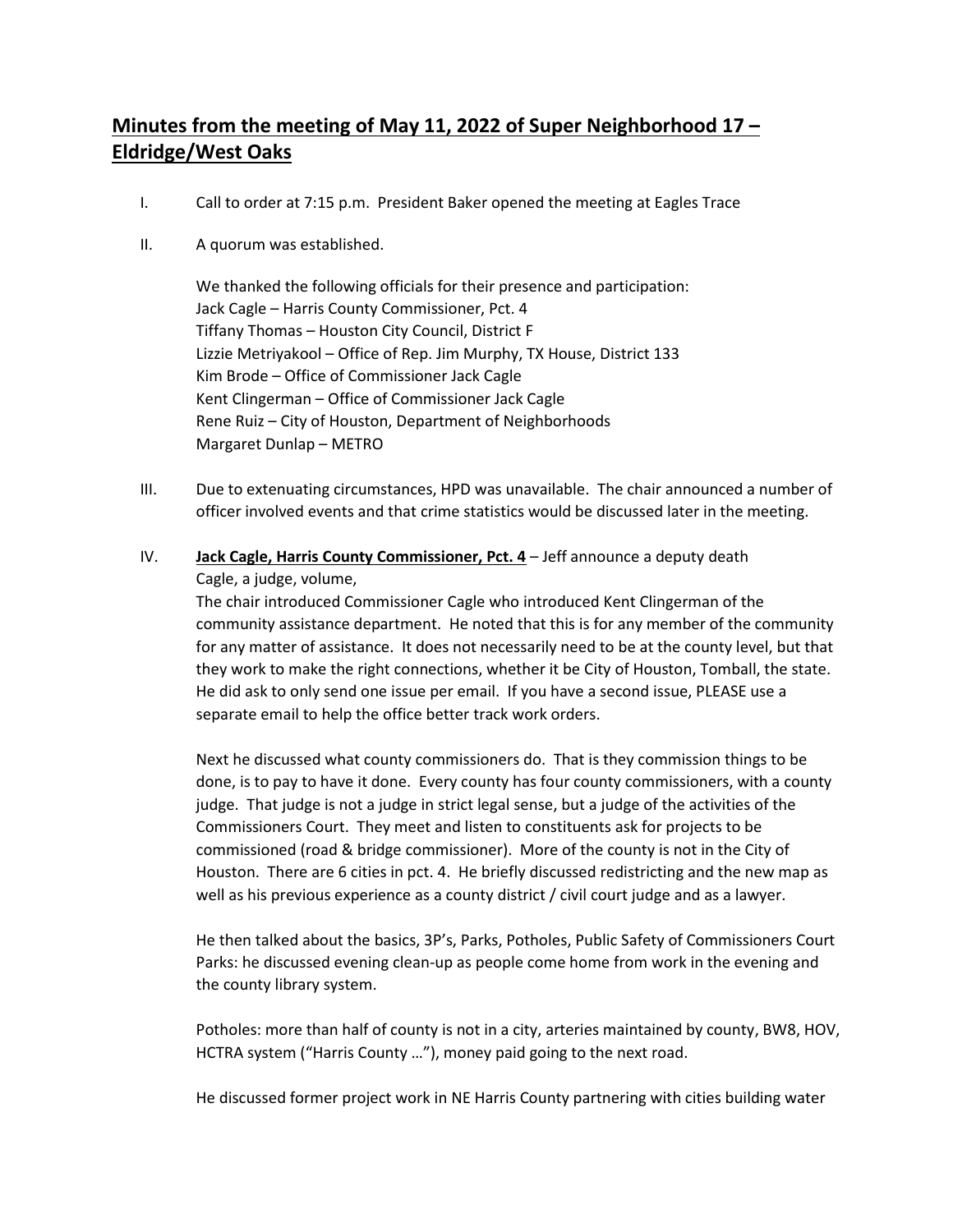## **Minutes from the meeting of May 11, 2022 of Super Neighborhood 17 – Eldridge/West Oaks**

- I. Call to order at 7:15 p.m. President Baker opened the meeting at Eagles Trace
- II. A quorum was established.

We thanked the following officials for their presence and participation: Jack Cagle – Harris County Commissioner, Pct. 4 Tiffany Thomas – Houston City Council, District F Lizzie Metriyakool – Office of Rep. Jim Murphy, TX House, District 133 Kim Brode – Office of Commissioner Jack Cagle Kent Clingerman – Office of Commissioner Jack Cagle Rene Ruiz – City of Houston, Department of Neighborhoods Margaret Dunlap – METRO

- III. Due to extenuating circumstances, HPD was unavailable. The chair announced a number of officer involved events and that crime statistics would be discussed later in the meeting.
- IV. **Jack Cagle, Harris County Commissioner, Pct. 4** Jeff announce a deputy death Cagle, a judge, volume,

The chair introduced Commissioner Cagle who introduced Kent Clingerman of the community assistance department. He noted that this is for any member of the community for any matter of assistance. It does not necessarily need to be at the county level, but that they work to make the right connections, whether it be City of Houston, Tomball, the state. He did ask to only send one issue per email. If you have a second issue, PLEASE use a separate email to help the office better track work orders.

Next he discussed what county commissioners do. That is they commission things to be done, is to pay to have it done. Every county has four county commissioners, with a county judge. That judge is not a judge in strict legal sense, but a judge of the activities of the Commissioners Court. They meet and listen to constituents ask for projects to be commissioned (road & bridge commissioner). More of the county is not in the City of Houston. There are 6 cities in pct. 4. He briefly discussed redistricting and the new map as well as his previous experience as a county district / civil court judge and as a lawyer.

He then talked about the basics, 3P's, Parks, Potholes, Public Safety of Commissioners Court Parks: he discussed evening clean-up as people come home from work in the evening and the county library system.

Potholes: more than half of county is not in a city, arteries maintained by county, BW8, HOV, HCTRA system ("Harris County …"), money paid going to the next road.

He discussed former project work in NE Harris County partnering with cities building water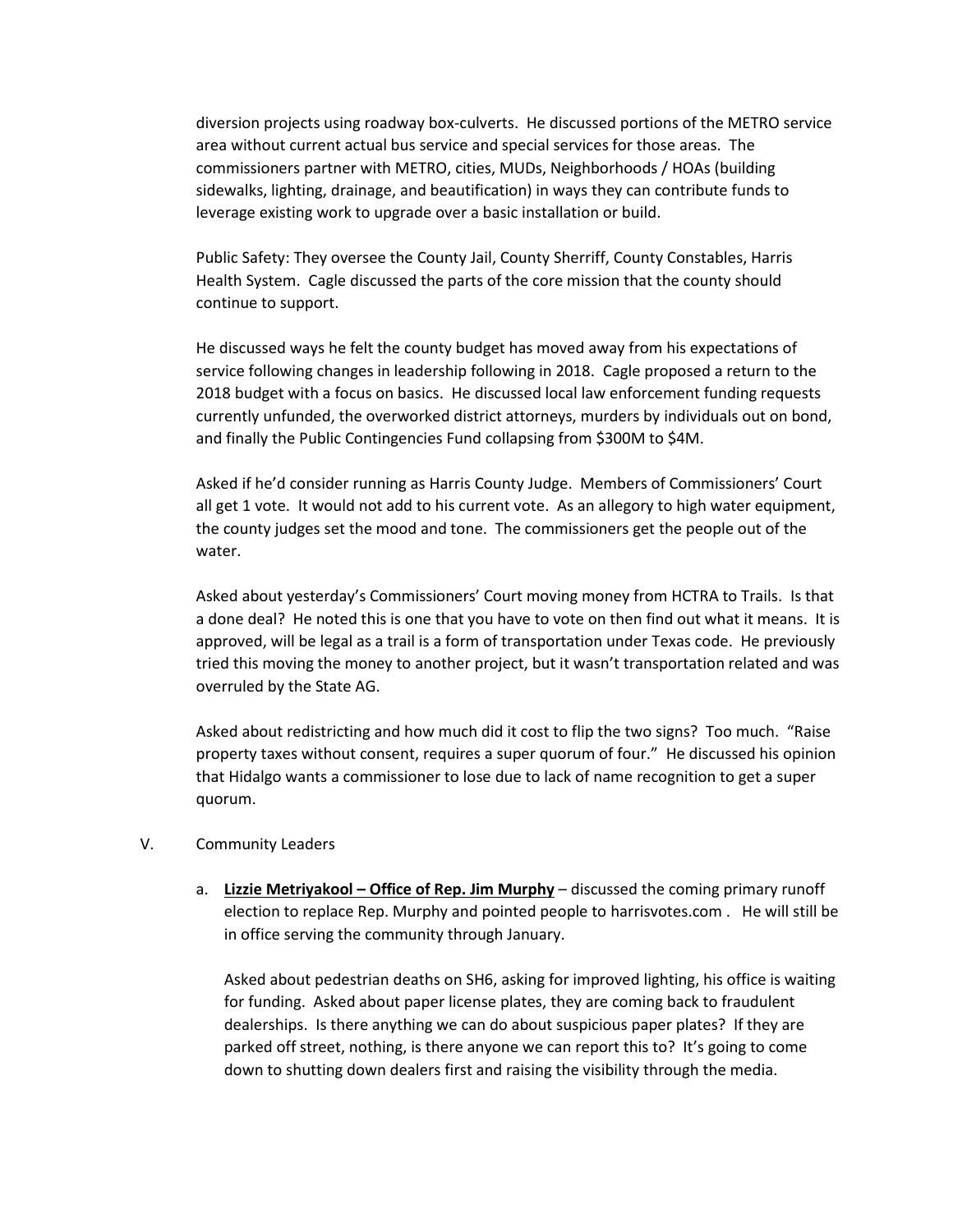diversion projects using roadway box-culverts. He discussed portions of the METRO service area without current actual bus service and special services for those areas. The commissioners partner with METRO, cities, MUDs, Neighborhoods / HOAs (building sidewalks, lighting, drainage, and beautification) in ways they can contribute funds to leverage existing work to upgrade over a basic installation or build.

Public Safety: They oversee the County Jail, County Sherriff, County Constables, Harris Health System. Cagle discussed the parts of the core mission that the county should continue to support.

He discussed ways he felt the county budget has moved away from his expectations of service following changes in leadership following in 2018. Cagle proposed a return to the 2018 budget with a focus on basics. He discussed local law enforcement funding requests currently unfunded, the overworked district attorneys, murders by individuals out on bond, and finally the Public Contingencies Fund collapsing from \$300M to \$4M.

Asked if he'd consider running as Harris County Judge. Members of Commissioners' Court all get 1 vote. It would not add to his current vote. As an allegory to high water equipment, the county judges set the mood and tone. The commissioners get the people out of the water.

Asked about yesterday's Commissioners' Court moving money from HCTRA to Trails. Is that a done deal? He noted this is one that you have to vote on then find out what it means. It is approved, will be legal as a trail is a form of transportation under Texas code. He previously tried this moving the money to another project, but it wasn't transportation related and was overruled by the State AG.

Asked about redistricting and how much did it cost to flip the two signs? Too much. "Raise property taxes without consent, requires a super quorum of four." He discussed his opinion that Hidalgo wants a commissioner to lose due to lack of name recognition to get a super quorum.

- V. Community Leaders
	- a. **Lizzie Metriyakool Office of Rep. Jim Murphy** discussed the coming primary runoff election to replace Rep. Murphy and pointed people to harrisvotes.com . He will still be in office serving the community through January.

Asked about pedestrian deaths on SH6, asking for improved lighting, his office is waiting for funding. Asked about paper license plates, they are coming back to fraudulent dealerships. Is there anything we can do about suspicious paper plates? If they are parked off street, nothing, is there anyone we can report this to? It's going to come down to shutting down dealers first and raising the visibility through the media.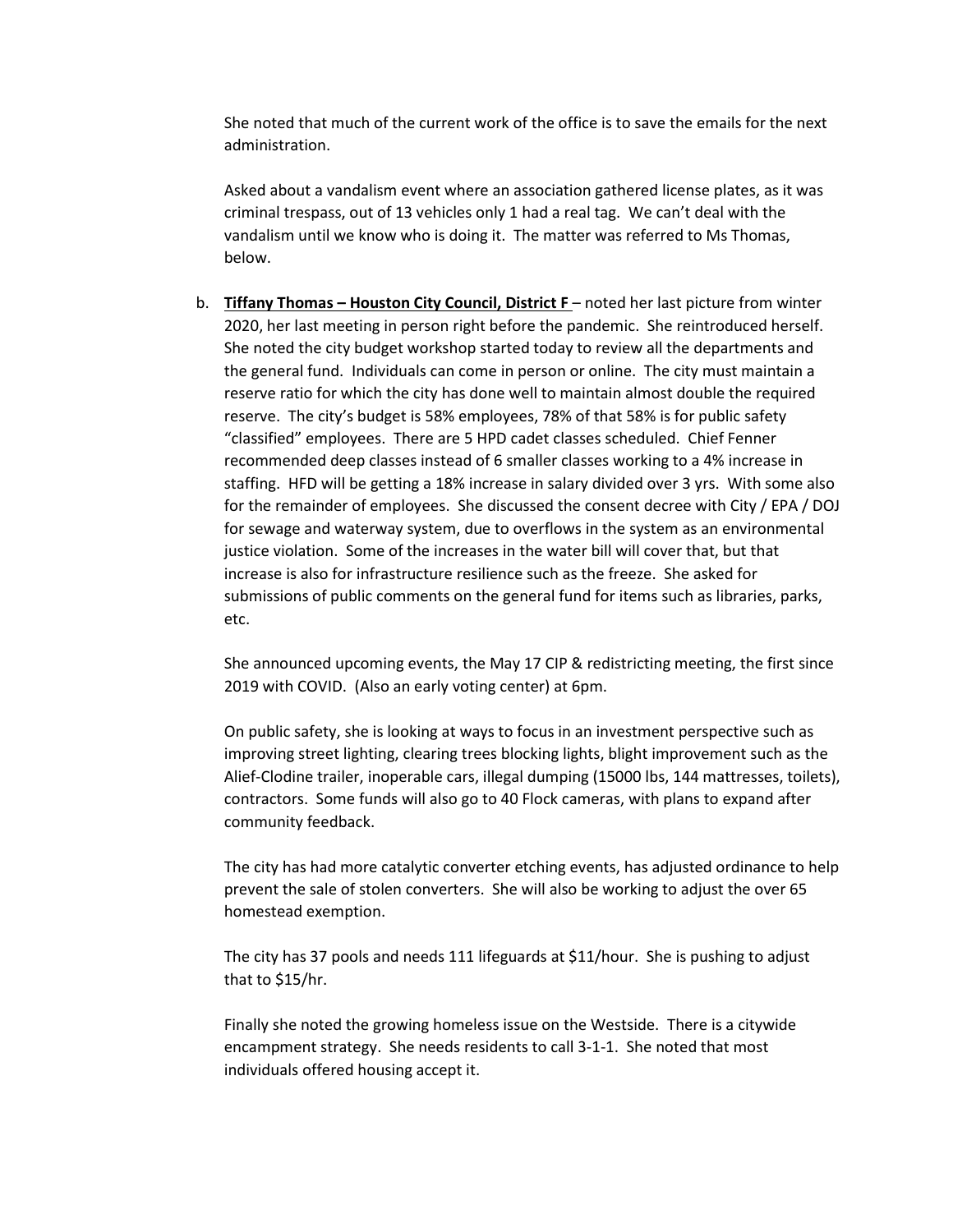She noted that much of the current work of the office is to save the emails for the next administration.

Asked about a vandalism event where an association gathered license plates, as it was criminal trespass, out of 13 vehicles only 1 had a real tag. We can't deal with the vandalism until we know who is doing it. The matter was referred to Ms Thomas, below.

b. **Tiffany Thomas – Houston City Council, District F** – noted her last picture from winter 2020, her last meeting in person right before the pandemic. She reintroduced herself. She noted the city budget workshop started today to review all the departments and the general fund. Individuals can come in person or online. The city must maintain a reserve ratio for which the city has done well to maintain almost double the required reserve. The city's budget is 58% employees, 78% of that 58% is for public safety "classified" employees. There are 5 HPD cadet classes scheduled. Chief Fenner recommended deep classes instead of 6 smaller classes working to a 4% increase in staffing. HFD will be getting a 18% increase in salary divided over 3 yrs. With some also for the remainder of employees. She discussed the consent decree with City / EPA / DOJ for sewage and waterway system, due to overflows in the system as an environmental justice violation. Some of the increases in the water bill will cover that, but that increase is also for infrastructure resilience such as the freeze. She asked for submissions of public comments on the general fund for items such as libraries, parks, etc.

She announced upcoming events, the May 17 CIP & redistricting meeting, the first since 2019 with COVID. (Also an early voting center) at 6pm.

On public safety, she is looking at ways to focus in an investment perspective such as improving street lighting, clearing trees blocking lights, blight improvement such as the Alief-Clodine trailer, inoperable cars, illegal dumping (15000 lbs, 144 mattresses, toilets), contractors. Some funds will also go to 40 Flock cameras, with plans to expand after community feedback.

The city has had more catalytic converter etching events, has adjusted ordinance to help prevent the sale of stolen converters. She will also be working to adjust the over 65 homestead exemption.

The city has 37 pools and needs 111 lifeguards at \$11/hour. She is pushing to adjust that to \$15/hr.

Finally she noted the growing homeless issue on the Westside. There is a citywide encampment strategy. She needs residents to call 3-1-1. She noted that most individuals offered housing accept it.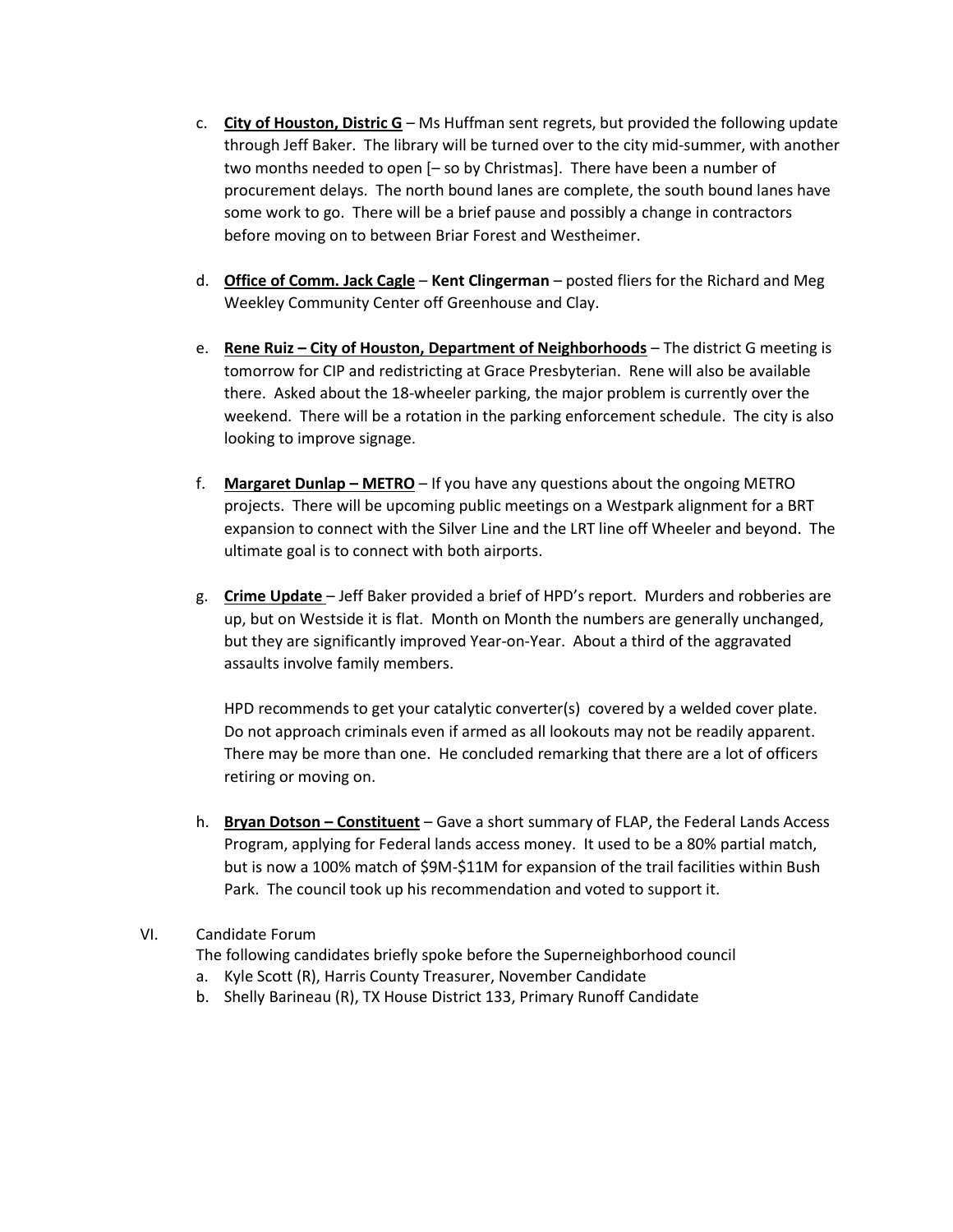- c. **City of Houston, Distric G** Ms Huffman sent regrets, but provided the following update through Jeff Baker. The library will be turned over to the city mid-summer, with another two months needed to open [– so by Christmas]. There have been a number of procurement delays. The north bound lanes are complete, the south bound lanes have some work to go. There will be a brief pause and possibly a change in contractors before moving on to between Briar Forest and Westheimer.
- d. **Office of Comm. Jack Cagle Kent Clingerman** posted fliers for the Richard and Meg Weekley Community Center off Greenhouse and Clay.
- e. **Rene Ruiz – City of Houston, Department of Neighborhoods** The district G meeting is tomorrow for CIP and redistricting at Grace Presbyterian. Rene will also be available there. Asked about the 18-wheeler parking, the major problem is currently over the weekend. There will be a rotation in the parking enforcement schedule. The city is also looking to improve signage.
- f. **Margaret Dunlap – METRO** If you have any questions about the ongoing METRO projects. There will be upcoming public meetings on a Westpark alignment for a BRT expansion to connect with the Silver Line and the LRT line off Wheeler and beyond. The ultimate goal is to connect with both airports.
- g. **Crime Update** Jeff Baker provided a brief of HPD's report. Murders and robberies are up, but on Westside it is flat. Month on Month the numbers are generally unchanged, but they are significantly improved Year-on-Year. About a third of the aggravated assaults involve family members.

HPD recommends to get your catalytic converter(s) covered by a welded cover plate. Do not approach criminals even if armed as all lookouts may not be readily apparent. There may be more than one. He concluded remarking that there are a lot of officers retiring or moving on.

h. **Bryan Dotson – Constituent** – Gave a short summary of FLAP, the Federal Lands Access Program, applying for Federal lands access money. It used to be a 80% partial match, but is now a 100% match of \$9M-\$11M for expansion of the trail facilities within Bush Park. The council took up his recommendation and voted to support it.

## VI. Candidate Forum

The following candidates briefly spoke before the Superneighborhood council

- a. Kyle Scott (R), Harris County Treasurer, November Candidate
- b. Shelly Barineau (R), TX House District 133, Primary Runoff Candidate